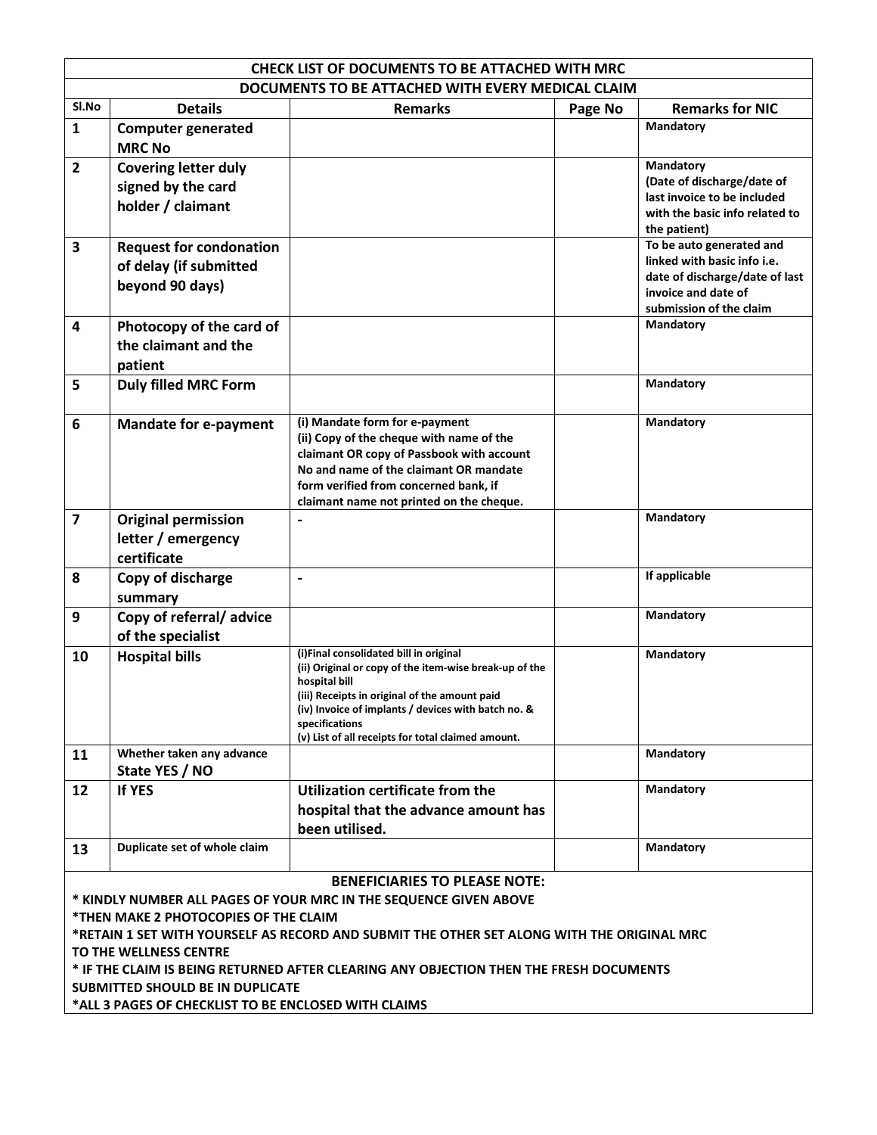| <b>CHECK LIST OF DOCUMENTS TO BE ATTACHED WITH MRC</b>                                                                            |                                |                                                                                                  |         |                                          |  |  |  |  |
|-----------------------------------------------------------------------------------------------------------------------------------|--------------------------------|--------------------------------------------------------------------------------------------------|---------|------------------------------------------|--|--|--|--|
| DOCUMENTS TO BE ATTACHED WITH EVERY MEDICAL CLAIM                                                                                 |                                |                                                                                                  |         |                                          |  |  |  |  |
| Sl.No                                                                                                                             | <b>Details</b>                 | <b>Remarks</b>                                                                                   | Page No | <b>Remarks for NIC</b>                   |  |  |  |  |
| $\mathbf{1}$                                                                                                                      | <b>Computer generated</b>      |                                                                                                  |         | Mandatory                                |  |  |  |  |
|                                                                                                                                   | <b>MRC No</b>                  |                                                                                                  |         |                                          |  |  |  |  |
| $\overline{2}$                                                                                                                    | <b>Covering letter duly</b>    |                                                                                                  |         | Mandatory                                |  |  |  |  |
|                                                                                                                                   | signed by the card             |                                                                                                  |         | (Date of discharge/date of               |  |  |  |  |
|                                                                                                                                   | holder / claimant              |                                                                                                  |         | last invoice to be included              |  |  |  |  |
|                                                                                                                                   |                                |                                                                                                  |         | with the basic info related to           |  |  |  |  |
|                                                                                                                                   |                                |                                                                                                  |         | the patient)<br>To be auto generated and |  |  |  |  |
| 3                                                                                                                                 | <b>Request for condonation</b> |                                                                                                  |         | linked with basic info i.e.              |  |  |  |  |
|                                                                                                                                   | of delay (if submitted         |                                                                                                  |         | date of discharge/date of last           |  |  |  |  |
|                                                                                                                                   | beyond 90 days)                |                                                                                                  |         | invoice and date of                      |  |  |  |  |
|                                                                                                                                   |                                |                                                                                                  |         | submission of the claim                  |  |  |  |  |
| $\overline{\mathbf{4}}$                                                                                                           | Photocopy of the card of       |                                                                                                  |         | Mandatory                                |  |  |  |  |
|                                                                                                                                   | the claimant and the           |                                                                                                  |         |                                          |  |  |  |  |
|                                                                                                                                   | patient                        |                                                                                                  |         |                                          |  |  |  |  |
| 5                                                                                                                                 | <b>Duly filled MRC Form</b>    |                                                                                                  |         | Mandatory                                |  |  |  |  |
|                                                                                                                                   |                                |                                                                                                  |         |                                          |  |  |  |  |
| 6                                                                                                                                 | <b>Mandate for e-payment</b>   | (i) Mandate form for e-payment                                                                   |         | <b>Mandatory</b>                         |  |  |  |  |
|                                                                                                                                   |                                | (ii) Copy of the cheque with name of the                                                         |         |                                          |  |  |  |  |
|                                                                                                                                   |                                | claimant OR copy of Passbook with account                                                        |         |                                          |  |  |  |  |
|                                                                                                                                   |                                | No and name of the claimant OR mandate                                                           |         |                                          |  |  |  |  |
|                                                                                                                                   |                                | form verified from concerned bank, if<br>claimant name not printed on the cheque.                |         |                                          |  |  |  |  |
| $\overline{\mathbf{z}}$                                                                                                           | <b>Original permission</b>     |                                                                                                  |         | Mandatory                                |  |  |  |  |
|                                                                                                                                   | letter / emergency             |                                                                                                  |         |                                          |  |  |  |  |
|                                                                                                                                   | certificate                    |                                                                                                  |         |                                          |  |  |  |  |
|                                                                                                                                   |                                |                                                                                                  |         | If applicable                            |  |  |  |  |
| 8                                                                                                                                 | Copy of discharge              | $\qquad \qquad \blacksquare$                                                                     |         |                                          |  |  |  |  |
|                                                                                                                                   | summary                        |                                                                                                  |         |                                          |  |  |  |  |
| 9                                                                                                                                 | Copy of referral/advice        |                                                                                                  |         | Mandatory                                |  |  |  |  |
|                                                                                                                                   | of the specialist              |                                                                                                  |         |                                          |  |  |  |  |
| 10                                                                                                                                | <b>Hospital bills</b>          | (i)Final consolidated bill in original<br>(ii) Original or copy of the item-wise break-up of the |         | Mandatory                                |  |  |  |  |
|                                                                                                                                   |                                | hospital bill                                                                                    |         |                                          |  |  |  |  |
|                                                                                                                                   |                                | (iii) Receipts in original of the amount paid                                                    |         |                                          |  |  |  |  |
|                                                                                                                                   |                                | (iv) Invoice of implants / devices with batch no. &<br>specifications                            |         |                                          |  |  |  |  |
|                                                                                                                                   |                                | (v) List of all receipts for total claimed amount.                                               |         |                                          |  |  |  |  |
| 11                                                                                                                                | Whether taken any advance      |                                                                                                  |         | Mandatory                                |  |  |  |  |
|                                                                                                                                   | State YES / NO                 |                                                                                                  |         |                                          |  |  |  |  |
| 12                                                                                                                                | <b>If YES</b>                  | Utilization certificate from the                                                                 |         | Mandatory                                |  |  |  |  |
|                                                                                                                                   |                                | hospital that the advance amount has                                                             |         |                                          |  |  |  |  |
|                                                                                                                                   |                                | been utilised.                                                                                   |         |                                          |  |  |  |  |
| 13                                                                                                                                | Duplicate set of whole claim   |                                                                                                  |         | Mandatory                                |  |  |  |  |
|                                                                                                                                   |                                |                                                                                                  |         |                                          |  |  |  |  |
|                                                                                                                                   |                                | <b>BENEFICIARIES TO PLEASE NOTE:</b>                                                             |         |                                          |  |  |  |  |
| * KINDLY NUMBER ALL PAGES OF YOUR MRC IN THE SEQUENCE GIVEN ABOVE                                                                 |                                |                                                                                                  |         |                                          |  |  |  |  |
| *THEN MAKE 2 PHOTOCOPIES OF THE CLAIM                                                                                             |                                |                                                                                                  |         |                                          |  |  |  |  |
| *RETAIN 1 SET WITH YOURSELF AS RECORD AND SUBMIT THE OTHER SET ALONG WITH THE ORIGINAL MRC                                        |                                |                                                                                                  |         |                                          |  |  |  |  |
| TO THE WELLNESS CENTRE                                                                                                            |                                |                                                                                                  |         |                                          |  |  |  |  |
| * IF THE CLAIM IS BEING RETURNED AFTER CLEARING ANY OBJECTION THEN THE FRESH DOCUMENTS<br><b>SUBMITTED SHOULD BE IN DUPLICATE</b> |                                |                                                                                                  |         |                                          |  |  |  |  |
|                                                                                                                                   |                                |                                                                                                  |         |                                          |  |  |  |  |
| *ALL 3 PAGES OF CHECKLIST TO BE ENCLOSED WITH CLAIMS                                                                              |                                |                                                                                                  |         |                                          |  |  |  |  |